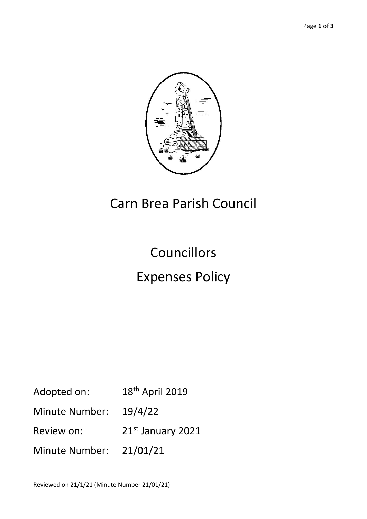

## Carn Brea Parish Council

# Councillors Expenses Policy

- Adopted on: 18<sup>th</sup> April 2019
- Minute Number: 19/4/22
- Review on: 21st January 2021
- Minute Number: 21/01/21

Reviewed on 21/1/21 (Minute Number 21/01/21)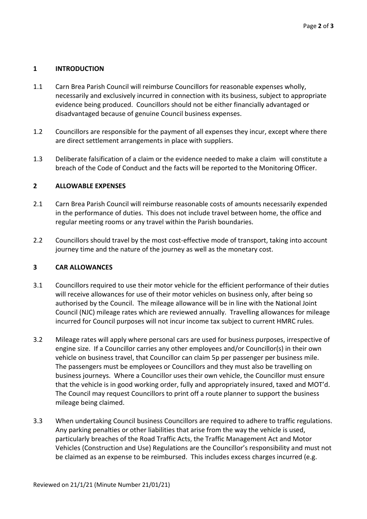### **1 INTRODUCTION**

- 1.1 Carn Brea Parish Council will reimburse Councillors for reasonable expenses wholly, necessarily and exclusively incurred in connection with its business, subject to appropriate evidence being produced. Councillors should not be either financially advantaged or disadvantaged because of genuine Council business expenses.
- 1.2 Councillors are responsible for the payment of all expenses they incur, except where there are direct settlement arrangements in place with suppliers.
- 1.3 Deliberate falsification of a claim or the evidence needed to make a claim will constitute a breach of the Code of Conduct and the facts will be reported to the Monitoring Officer.

#### **2 ALLOWABLE EXPENSES**

- 2.1 Carn Brea Parish Council will reimburse reasonable costs of amounts necessarily expended in the performance of duties. This does not include travel between home, the office and regular meeting rooms or any travel within the Parish boundaries.
- 2.2 Councillors should travel by the most cost-effective mode of transport, taking into account journey time and the nature of the journey as well as the monetary cost.

#### **3 CAR ALLOWANCES**

- 3.1 Councillors required to use their motor vehicle for the efficient performance of their duties will receive allowances for use of their motor vehicles on business only, after being so authorised by the Council. The mileage allowance will be in line with the National Joint Council (NJC) mileage rates which are reviewed annually. Travelling allowances for mileage incurred for Council purposes will not incur income tax subject to current HMRC rules.
- 3.2 Mileage rates will apply where personal cars are used for business purposes, irrespective of engine size. If a Councillor carries any other employees and/or Councillor(s) in their own vehicle on business travel, that Councillor can claim 5p per passenger per business mile. The passengers must be employees or Councillors and they must also be travelling on business journeys. Where a Councillor uses their own vehicle, the Councillor must ensure that the vehicle is in good working order, fully and appropriately insured, taxed and MOT'd. The Council may request Councillors to print off a route planner to support the business mileage being claimed.
- 3.3 When undertaking Council business Councillors are required to adhere to traffic regulations. Any parking penalties or other liabilities that arise from the way the vehicle is used, particularly breaches of the Road Traffic Acts, the Traffic Management Act and Motor Vehicles (Construction and Use) Regulations are the Councillor's responsibility and must not be claimed as an expense to be reimbursed. This includes excess charges incurred (e.g.